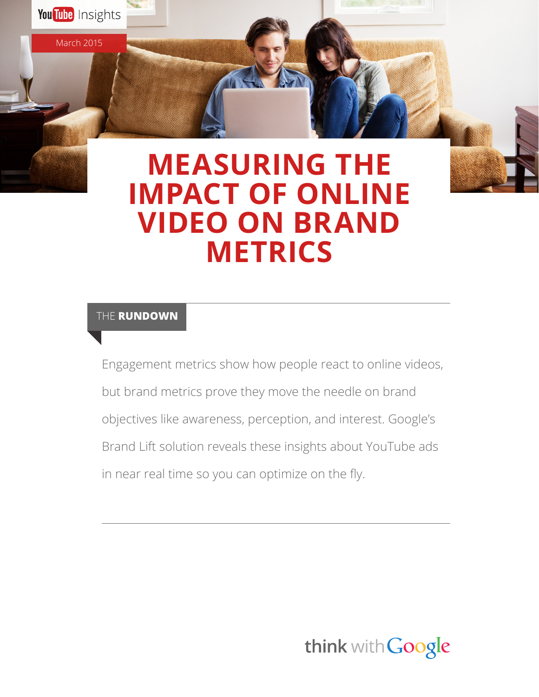# **MEASURING THE IMPACT OF ONLINE VIDEO ON BRAND METRICS**

## THE **RUNDOWN**

March 2015

You Tube Insights

Engagement metrics show how people react to online videos, but brand metrics prove they move the needle on brand objectives like awareness, perception, and interest. Google's Brand Lift solution reveals these insights about YouTube ads in near real time so you can optimize on the fly.

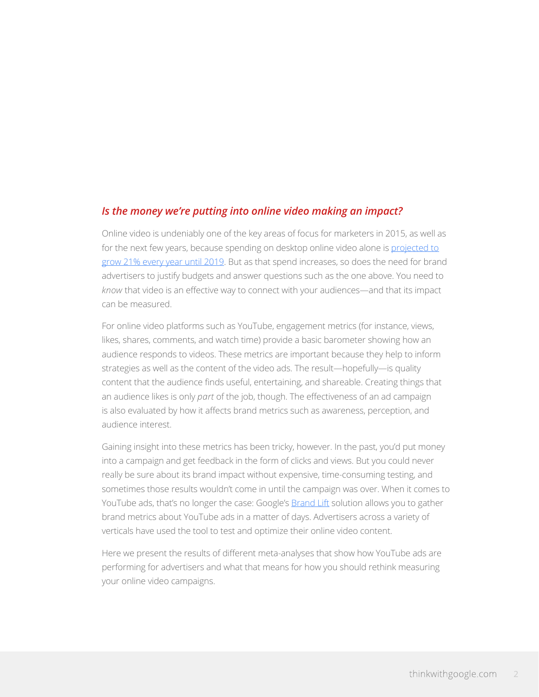#### *Is the money we're putting into online video making an impact?*

Online video is undeniably one of the key areas of focus for marketers in 2015, as well as for the next few years, because spending on desktop online video alone is [projected to](http://blogs.wsj.com/cmo/2014/10/06/forrester-us-online-display-ad-spending-will-nearly-double-by-2019/) [grow 21% every year until 2019.](http://blogs.wsj.com/cmo/2014/10/06/forrester-us-online-display-ad-spending-will-nearly-double-by-2019/) But as that spend increases, so does the need for brand advertisers to justify budgets and answer questions such as the one above. You need to *know* that video is an effective way to connect with your audiences—and that its impact can be measured.

For online video platforms such as YouTube, engagement metrics (for instance, views, likes, shares, comments, and watch time) provide a basic barometer showing how an audience responds to videos. These metrics are important because they help to inform strategies as well as the content of the video ads. The result—hopefully—is quality content that the audience finds useful, entertaining, and shareable. Creating things that an audience likes is only *part* of the job, though. The effectiveness of an ad campaign is also evaluated by how it affects brand metrics such as awareness, perception, and audience interest.

Gaining insight into these metrics has been tricky, however. In the past, you'd put money into a campaign and get feedback in the form of clicks and views. But you could never really be sure about its brand impact without expensive, time-consuming testing, and sometimes those results wouldn't come in until the campaign was over. When it comes to YouTube ads, that's no longer the case: Google's **Brand Lift** solution allows you to gather brand metrics about YouTube ads in a matter of days. Advertisers across a variety of verticals have used the tool to test and optimize their online video content.

Here we present the results of different meta-analyses that show how YouTube ads are performing for advertisers and what that means for how you should rethink measuring your online video campaigns.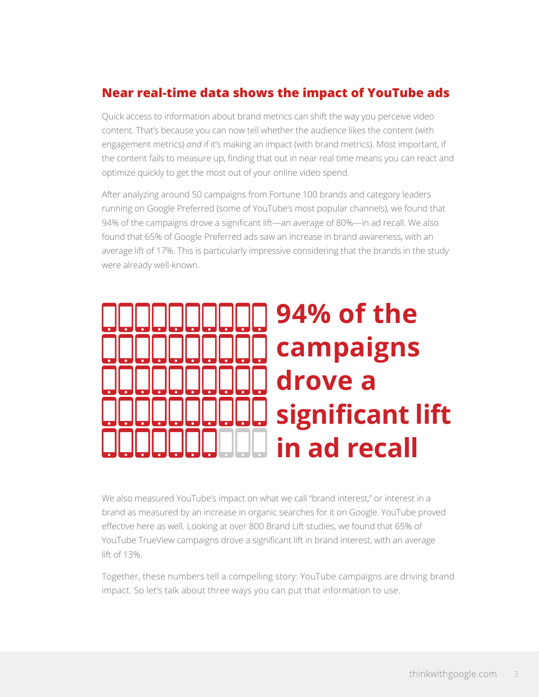## **Near real-time data shows the impact of YouTube ads**

Quick access to information about brand metrics can shift the way you perceive video content. That's because you can now tell whether the audience likes the content (with engagement metrics) *and* if it's making an impact (with brand metrics). Most important, if the content fails to measure up, finding that out in near real time means you can react and optimize quickly to get the most out of your online video spend.

After analyzing around 50 campaigns from Fortune 100 brands and category leaders running on Google Preferred (some of YouTube's most popular channels), we found that 94% of the campaigns drove a significant lift—an average of 80%—in ad recall. We also found that 65% of Google Preferred ads saw an increase in brand awareness, with an average lift of 17%. This is particularly impressive considering that the brands in the study were already well-known.



We also measured YouTube's impact on what we call "brand interest," or interest in a brand as measured by an increase in organic searches for it on Google. YouTube proved effective here as well. Looking at over 800 Brand Lift studies, we found that 65% of YouTube TrueView campaigns drove a significant lift in brand interest, with an average lift of 13%.

Together, these numbers tell a compelling story: YouTube campaigns are driving brand impact. So let's talk about three ways you can put that information to use.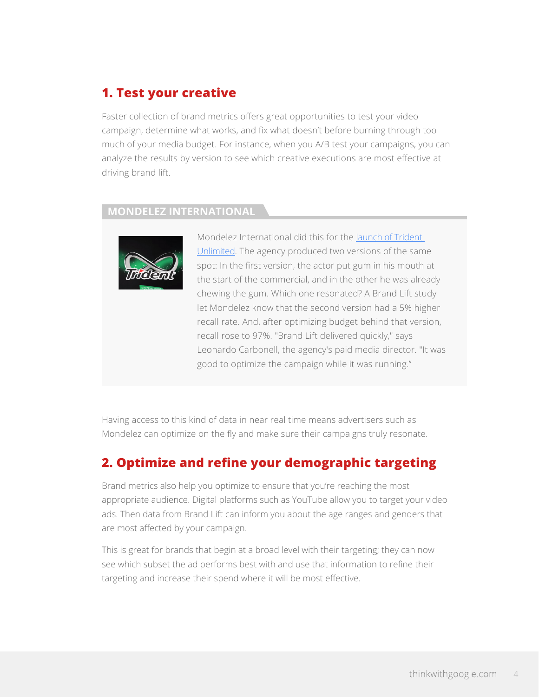# **1. Test your creative**

Faster collection of brand metrics offers great opportunities to test your video campaign, determine what works, and fix what doesn't before burning through too much of your media budget. For instance, when you A/B test your campaigns, you can analyze the results by version to see which creative executions are most effective at driving brand lift.

#### **MONDELEZ INTERNATIONAL**



Mondelez International did this for the [launch of Trident](https://www.thinkwithgoogle.com/case-studies/mondelez-boosts-brand-awareness-of-belvita-and-trident.html)  [Unlimited](https://www.thinkwithgoogle.com/case-studies/mondelez-boosts-brand-awareness-of-belvita-and-trident.html). The agency produced two versions of the same spot: In the first version, the actor put gum in his mouth at the start of the commercial, and in the other he was already chewing the gum. Which one resonated? A Brand Lift study let Mondelez know that the second version had a 5% higher recall rate. And, after optimizing budget behind that version, recall rose to 97%. "Brand Lift delivered quickly," says Leonardo Carbonell, the agency's paid media director. "It was good to optimize the campaign while it was running."

Having access to this kind of data in near real time means advertisers such as Mondelez can optimize on the fly and make sure their campaigns truly resonate.

# **2. Optimize and refine your demographic targeting**

Brand metrics also help you optimize to ensure that you're reaching the most appropriate audience. Digital platforms such as YouTube allow you to target your video ads. Then data from Brand Lift can inform you about the age ranges and genders that are most affected by your campaign.

This is great for brands that begin at a broad level with their targeting; they can now see which subset the ad performs best with and use that information to refine their targeting and increase their spend where it will be most effective.